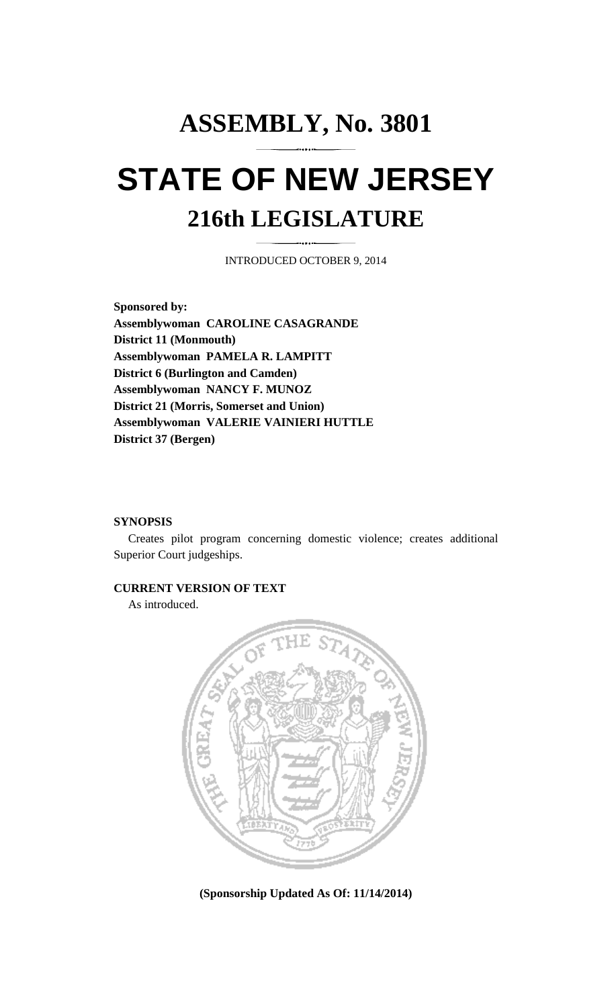# **ASSEMBLY, No. 3801 STATE OF NEW JERSEY 216th LEGISLATURE**

INTRODUCED OCTOBER 9, 2014

**Sponsored by: Assemblywoman CAROLINE CASAGRANDE District 11 (Monmouth) Assemblywoman PAMELA R. LAMPITT District 6 (Burlington and Camden) Assemblywoman NANCY F. MUNOZ District 21 (Morris, Somerset and Union) Assemblywoman VALERIE VAINIERI HUTTLE District 37 (Bergen)** 

#### **SYNOPSIS**

 Creates pilot program concerning domestic violence; creates additional Superior Court judgeships.

#### **CURRENT VERSION OF TEXT**

As introduced.



**(Sponsorship Updated As Of: 11/14/2014)**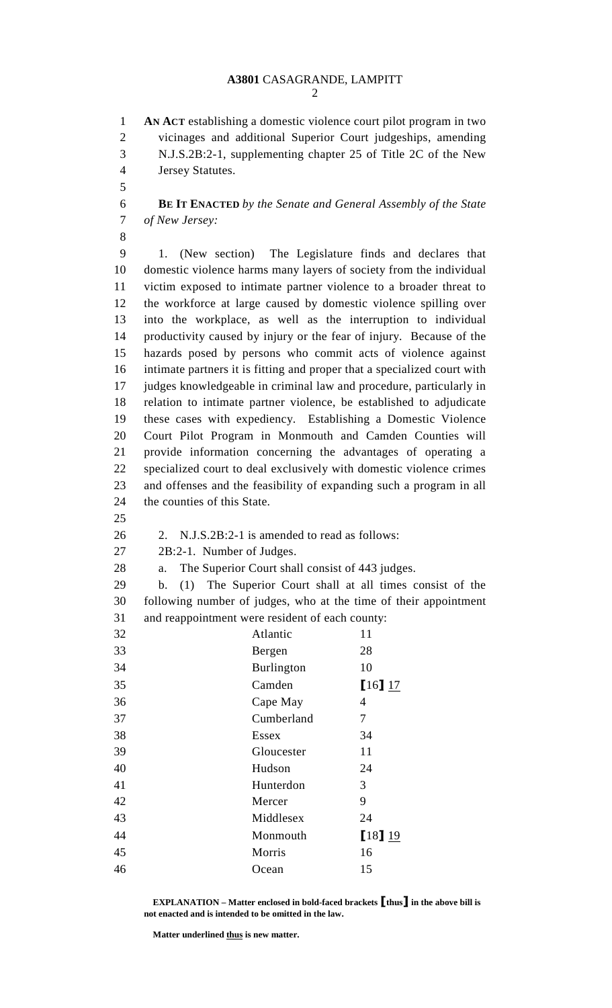2

1 **AN ACT** establishing a domestic violence court pilot program in two 2 vicinages and additional Superior Court judgeships, amending 3 N.J.S.2B:2-1, supplementing chapter 25 of Title 2C of the New 4 Jersey Statutes.

5

6 **BE IT ENACTED** *by the Senate and General Assembly of the State*  7 *of New Jersey:*

8

9 1. (New section) The Legislature finds and declares that 10 domestic violence harms many layers of society from the individual 11 victim exposed to intimate partner violence to a broader threat to 12 the workforce at large caused by domestic violence spilling over 13 into the workplace, as well as the interruption to individual 14 productivity caused by injury or the fear of injury. Because of the 15 hazards posed by persons who commit acts of violence against 16 intimate partners it is fitting and proper that a specialized court with 17 judges knowledgeable in criminal law and procedure, particularly in 18 relation to intimate partner violence, be established to adjudicate 19 these cases with expediency. Establishing a Domestic Violence 20 Court Pilot Program in Monmouth and Camden Counties will 21 provide information concerning the advantages of operating a 22 specialized court to deal exclusively with domestic violence crimes 23 and offenses and the feasibility of expanding such a program in all 24 the counties of this State.

25

26 2. N.J.S.2B:2-1 is amended to read as follows:

27 2B:2-1. Number of Judges.

28 a. The Superior Court shall consist of 443 judges.

29 b. (1) The Superior Court shall at all times consist of the 30 following number of judges, who at the time of their appointment 31 and reappointment were resident of each county:

| 32 | Atlantic          | 11          |
|----|-------------------|-------------|
| 33 | Bergen            | 28          |
| 34 | <b>Burlington</b> | 10          |
| 35 | Camden            | 16117       |
| 36 | Cape May          | 4           |
| 37 | Cumberland        | 7           |
| 38 | Essex             | 34          |
| 39 | Gloucester        | 11          |
| 40 | Hudson            | 24          |
| 41 | Hunterdon         | 3           |
| 42 | Mercer            | 9           |
| 43 | Middlesex         | 24          |
| 44 | Monmouth          | $[18]$ $19$ |
| 45 | Morris            | 16          |
| 46 | Ocean             | 15          |
|    |                   |             |

 **EXPLANATION – Matter enclosed in bold-faced brackets** [**thus**] **in the above bill is not enacted and is intended to be omitted in the law.** 

 **Matter underlined thus is new matter.**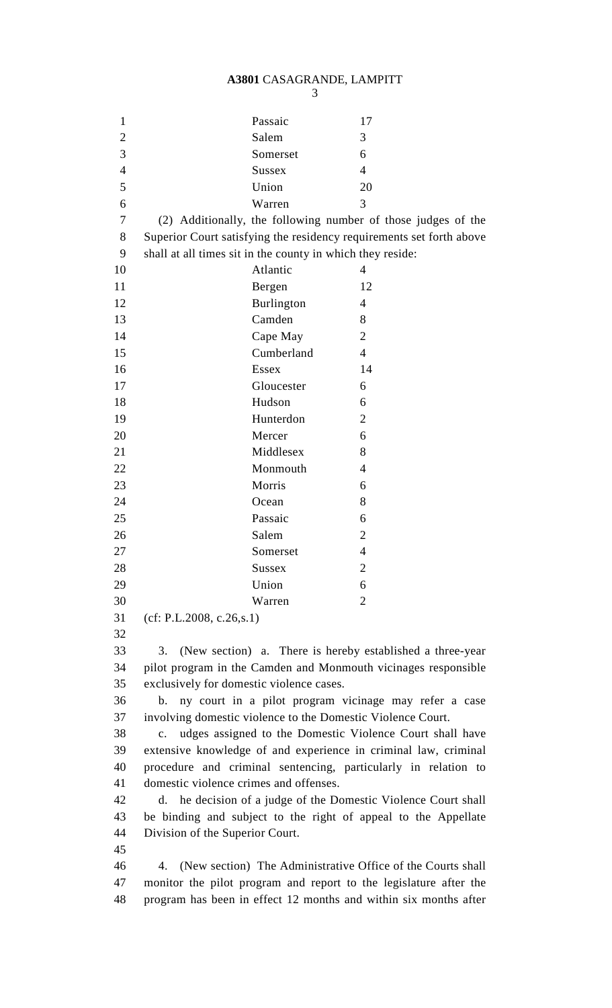## **A3801** CASAGRANDE, LAMPITT

| I<br>۰.<br>۰.<br>× |  |
|--------------------|--|

| $\mathbf{1}$   |                                                                   | Passaic                                                    | 17                                                                   |  |  |
|----------------|-------------------------------------------------------------------|------------------------------------------------------------|----------------------------------------------------------------------|--|--|
| $\overline{2}$ |                                                                   | Salem                                                      | 3                                                                    |  |  |
| 3              |                                                                   | Somerset                                                   | 6                                                                    |  |  |
| $\overline{4}$ |                                                                   | <b>Sussex</b>                                              | $\overline{4}$                                                       |  |  |
| 5              |                                                                   | Union                                                      | 20                                                                   |  |  |
| 6              |                                                                   | Warren                                                     | 3                                                                    |  |  |
| 7              |                                                                   |                                                            | (2) Additionally, the following number of those judges of the        |  |  |
| 8              |                                                                   |                                                            | Superior Court satisfying the residency requirements set forth above |  |  |
| 9              |                                                                   | shall at all times sit in the county in which they reside: |                                                                      |  |  |
| 10             |                                                                   | Atlantic                                                   | 4                                                                    |  |  |
| 11             |                                                                   | Bergen                                                     | 12                                                                   |  |  |
| 12             |                                                                   | <b>Burlington</b>                                          | $\overline{4}$                                                       |  |  |
| 13             |                                                                   | Camden                                                     | 8                                                                    |  |  |
| 14             |                                                                   | Cape May                                                   | $\overline{2}$                                                       |  |  |
| 15             |                                                                   | Cumberland                                                 | $\overline{4}$                                                       |  |  |
| 16             |                                                                   | <b>Essex</b>                                               | 14                                                                   |  |  |
| 17             |                                                                   | Gloucester                                                 | 6                                                                    |  |  |
| 18             |                                                                   | Hudson                                                     | 6                                                                    |  |  |
| 19             |                                                                   | Hunterdon                                                  | $\overline{2}$                                                       |  |  |
| 20             |                                                                   | Mercer                                                     | 6                                                                    |  |  |
| 21             |                                                                   | Middlesex                                                  | 8                                                                    |  |  |
| 22             |                                                                   | Monmouth                                                   | $\overline{4}$                                                       |  |  |
| 23             |                                                                   | Morris                                                     | 6                                                                    |  |  |
| 24             |                                                                   | Ocean                                                      | 8                                                                    |  |  |
| 25             |                                                                   | Passaic                                                    | 6                                                                    |  |  |
| 26             |                                                                   | Salem                                                      | $\overline{2}$                                                       |  |  |
|                |                                                                   | Somerset                                                   | 4                                                                    |  |  |
| 27             |                                                                   |                                                            |                                                                      |  |  |
| 28             |                                                                   | Sussex                                                     | 2                                                                    |  |  |
| 29             |                                                                   | Union                                                      | 6                                                                    |  |  |
| 30             |                                                                   | Warren                                                     | $\overline{2}$                                                       |  |  |
| 31             | (cf: P.L.2008, c.26, s.1)                                         |                                                            |                                                                      |  |  |
| 32             |                                                                   |                                                            |                                                                      |  |  |
| 33             | 3.                                                                |                                                            | (New section) a. There is hereby established a three-year            |  |  |
| 34             | pilot program in the Camden and Monmouth vicinages responsible    |                                                            |                                                                      |  |  |
| 35             | exclusively for domestic violence cases.                          |                                                            |                                                                      |  |  |
| 36             | ny court in a pilot program vicinage may refer a case<br>b.       |                                                            |                                                                      |  |  |
| 37             | involving domestic violence to the Domestic Violence Court.       |                                                            |                                                                      |  |  |
| 38             | udges assigned to the Domestic Violence Court shall have<br>c.    |                                                            |                                                                      |  |  |
| 39             | extensive knowledge of and experience in criminal law, criminal   |                                                            |                                                                      |  |  |
| 40             | procedure and criminal sentencing, particularly in relation to    |                                                            |                                                                      |  |  |
| 41             | domestic violence crimes and offenses.                            |                                                            |                                                                      |  |  |
| 42             | d. he decision of a judge of the Domestic Violence Court shall    |                                                            |                                                                      |  |  |
| 43             | be binding and subject to the right of appeal to the Appellate    |                                                            |                                                                      |  |  |
| 44             | Division of the Superior Court.                                   |                                                            |                                                                      |  |  |
| 45             |                                                                   |                                                            |                                                                      |  |  |
| 46             | 4.                                                                |                                                            | (New section) The Administrative Office of the Courts shall          |  |  |
| 47             | monitor the pilot program and report to the legislature after the |                                                            |                                                                      |  |  |
| 48             | program has been in effect 12 months and within six months after  |                                                            |                                                                      |  |  |